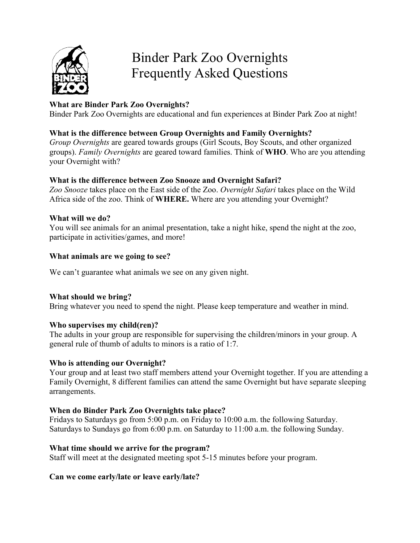

# Binder Park Zoo Overnights Frequently Asked Questions

# **What are Binder Park Zoo Overnights?**

Binder Park Zoo Overnights are educational and fun experiences at Binder Park Zoo at night!

# **What is the difference between Group Overnights and Family Overnights?**

*Group Overnights* are geared towards groups (Girl Scouts, Boy Scouts, and other organized groups). *Family Overnights* are geared toward families. Think of **WHO**. Who are you attending your Overnight with?

# **What is the difference between Zoo Snooze and Overnight Safari?**

*Zoo Snooze* takes place on the East side of the Zoo. *Overnight Safari* takes place on the Wild Africa side of the zoo. Think of **WHERE.** Where are you attending your Overnight?

# **What will we do?**

You will see animals for an animal presentation, take a night hike, spend the night at the zoo, participate in activities/games, and more!

# **What animals are we going to see?**

We can't guarantee what animals we see on any given night.

# **What should we bring?**

Bring whatever you need to spend the night. Please keep temperature and weather in mind.

# **Who supervises my child(ren)?**

The adults in your group are responsible for supervising the children/minors in your group. A general rule of thumb of adults to minors is a ratio of 1:7.

# **Who is attending our Overnight?**

Your group and at least two staff members attend your Overnight together. If you are attending a Family Overnight, 8 different families can attend the same Overnight but have separate sleeping arrangements.

# **When do Binder Park Zoo Overnights take place?**

Fridays to Saturdays go from 5:00 p.m. on Friday to 10:00 a.m. the following Saturday. Saturdays to Sundays go from 6:00 p.m. on Saturday to 11:00 a.m. the following Sunday.

# **What time should we arrive for the program?**

Staff will meet at the designated meeting spot 5-15 minutes before your program.

# **Can we come early/late or leave early/late?**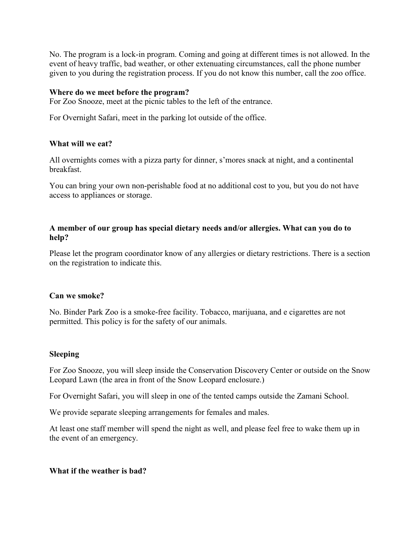No. The program is a lock-in program. Coming and going at different times is not allowed. In the event of heavy traffic, bad weather, or other extenuating circumstances, call the phone number given to you during the registration process. If you do not know this number, call the zoo office.

#### **Where do we meet before the program?**

For Zoo Snooze, meet at the picnic tables to the left of the entrance.

For Overnight Safari, meet in the parking lot outside of the office.

# **What will we eat?**

All overnights comes with a pizza party for dinner, s'mores snack at night, and a continental breakfast.

You can bring your own non-perishable food at no additional cost to you, but you do not have access to appliances or storage.

# **A member of our group has special dietary needs and/or allergies. What can you do to help?**

Please let the program coordinator know of any allergies or dietary restrictions. There is a section on the registration to indicate this.

#### **Can we smoke?**

No. Binder Park Zoo is a smoke-free facility. Tobacco, marijuana, and e cigarettes are not permitted. This policy is for the safety of our animals.

# **Sleeping**

For Zoo Snooze, you will sleep inside the Conservation Discovery Center or outside on the Snow Leopard Lawn (the area in front of the Snow Leopard enclosure.)

For Overnight Safari, you will sleep in one of the tented camps outside the Zamani School.

We provide separate sleeping arrangements for females and males.

At least one staff member will spend the night as well, and please feel free to wake them up in the event of an emergency.

#### **What if the weather is bad?**